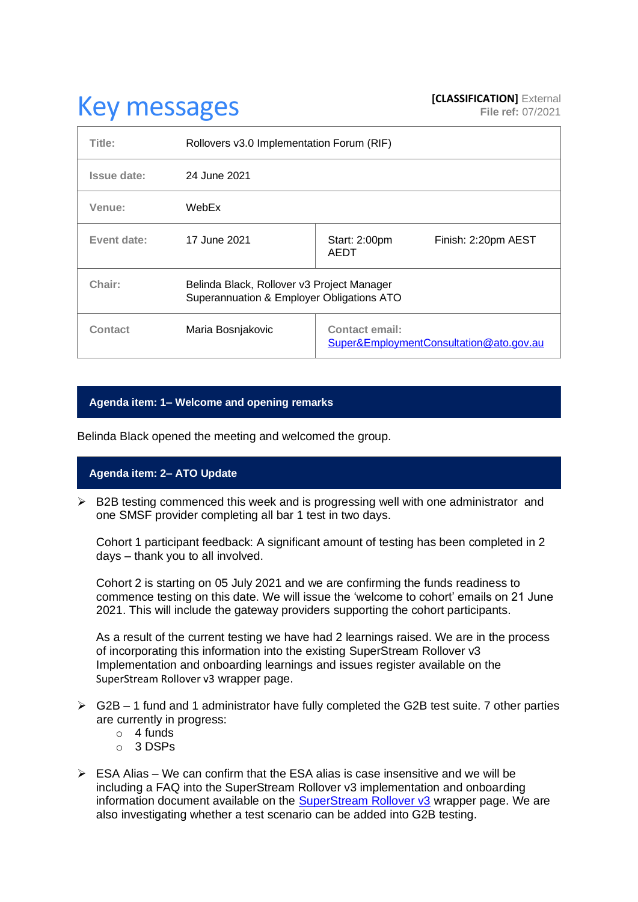# **Key messages [CLASSIFICATION]** External **[CLASSIFICATION]** External

| Title:      | Rollovers v3.0 Implementation Forum (RIF)                                               |                                                                  |                     |
|-------------|-----------------------------------------------------------------------------------------|------------------------------------------------------------------|---------------------|
| Issue date: | 24 June 2021                                                                            |                                                                  |                     |
| Venue:      | WebEx                                                                                   |                                                                  |                     |
| Event date: | 17 June 2021                                                                            | Start: 2:00pm<br>AEDT                                            | Finish: 2:20pm AEST |
| Chair:      | Belinda Black, Rollover v3 Project Manager<br>Superannuation & Employer Obligations ATO |                                                                  |                     |
| Contact     | Maria Bosnjakovic                                                                       | <b>Contact email:</b><br>Super&EmploymentConsultation@ato.gov.au |                     |

## **Agenda item: 1– Welcome and opening remarks**

Belinda Black opened the meeting and welcomed the group.

## **Agenda item: 2– ATO Update**

 $\triangleright$  B2B testing commenced this week and is progressing well with one administrator and one SMSF provider completing all bar 1 test in two days.

Cohort 1 participant feedback: A significant amount of testing has been completed in 2 days – thank you to all involved.

Cohort 2 is starting on 05 July 2021 and we are confirming the funds readiness to commence testing on this date. We will issue the 'welcome to cohort' emails on 21 June 2021. This will include the gateway providers supporting the cohort participants.

As a result of the current testing we have had 2 learnings raised. We are in the process of incorporating this information into the existing SuperStream Rollover v3 Implementation and onboarding learnings and issues register available on the [SuperStream Rollover v3](https://www.ato.gov.au/Super/Sup/SuperStream-Rollover-v3/) wrapper page.

- $\triangleright$  G2B 1 fund and 1 administrator have fully completed the G2B test suite. 7 other parties are currently in progress:
	- o 4 funds
	- o 3 DSPs
- $\triangleright$  ESA Alias We can confirm that the ESA alias is case insensitive and we will be including a FAQ into the SuperStream Rollover v3 implementation and onboarding information document available on the [SuperStream Rollover v3](https://www.ato.gov.au/Super/Sup/SuperStream-Rollover-v3/) wrapper page. We are also investigating whether a test scenario can be added into G2B testing.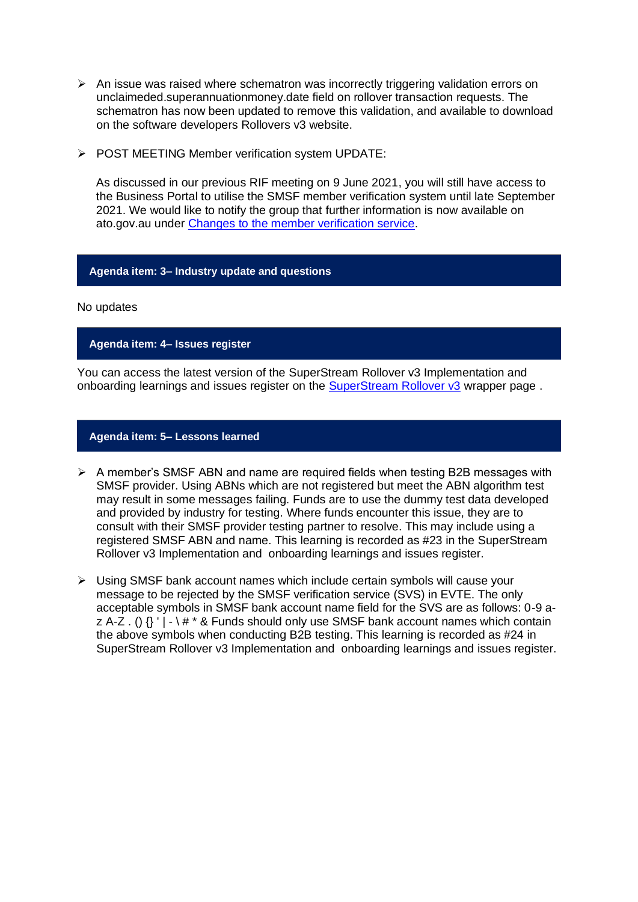- $\triangleright$  An issue was raised where schematron was incorrectly triggering validation errors on unclaimeded.superannuationmoney.date field on rollover transaction requests. The schematron has now been updated to remove this validation, and available to download on the software developers Rollovers v3 website.
- ➢ POST MEETING Member verification system UPDATE:

As discussed in our previous RIF meeting on 9 June 2021, you will still have access to the Business Portal to utilise the SMSF member verification system until late September 2021. We would like to notify the group that further information is now available on ato.gov.au under [Changes to the member verification service.](https://www.ato.gov.au/Super/APRA-regulated-funds/In-detail/News/Changes-to-the-member-verification-service/)

#### **Agenda item: 3– Industry update and questions**

#### No updates

## **Agenda item: 4– Issues register**

You can access the latest version of the SuperStream Rollover v3 Implementation and onboarding learnings and issues register on the [SuperStream Rollover v3](https://www.ato.gov.au/Super/Sup/SuperStream-Rollover-v3/) wrapper page.

### **Agenda item: 5– Lessons learned**

- $\triangleright$  A member's SMSF ABN and name are required fields when testing B2B messages with SMSF provider. Using ABNs which are not registered but meet the ABN algorithm test may result in some messages failing. Funds are to use the dummy test data developed and provided by industry for testing. Where funds encounter this issue, they are to consult with their SMSF provider testing partner to resolve. This may include using a registered SMSF ABN and name. This learning is recorded as #23 in the SuperStream Rollover v3 Implementation and onboarding learnings and issues register.
- ➢ Using SMSF bank account names which include certain symbols will cause your message to be rejected by the SMSF verification service (SVS) in EVTE. The only acceptable symbols in SMSF bank account name field for the SVS are as follows: 0-9 az A-Z . ()  $\{$  ' | -  $\$   $\#$  \* & Funds should only use SMSF bank account names which contain the above symbols when conducting B2B testing. This learning is recorded as #24 in SuperStream Rollover v3 Implementation and onboarding learnings and issues register.